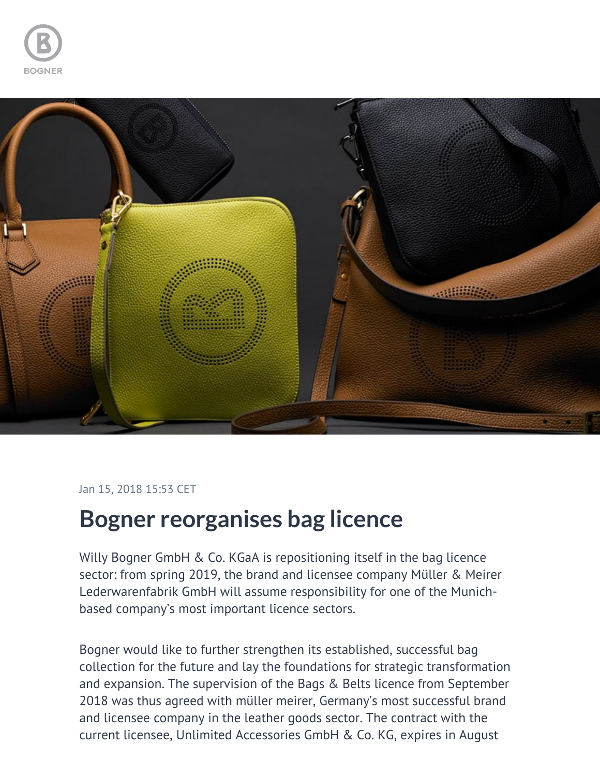



## Jan 15, 2018 15:53 CET

## **Bogner reorganises bag licence**

Willy Bogner GmbH & Co. KGaA is repositioning itself in the bag licence sector: from spring 2019, the brand and licensee company Müller & Meirer Lederwarenfabrik GmbH will assume responsibility for one of the Munichbased company's most important licence sectors.

Bogner would like to further strengthen its established, successful bag collection for the future and lay the foundations for strategic transformation and expansion. The supervision of the Bags & Belts licence from September 2018 was thus agreed with müller meirer, Germany's most successful brand and licensee company in the leather goods sector. The contract with the current licensee, Unlimited Accessories GmbH & Co. KG, expires in August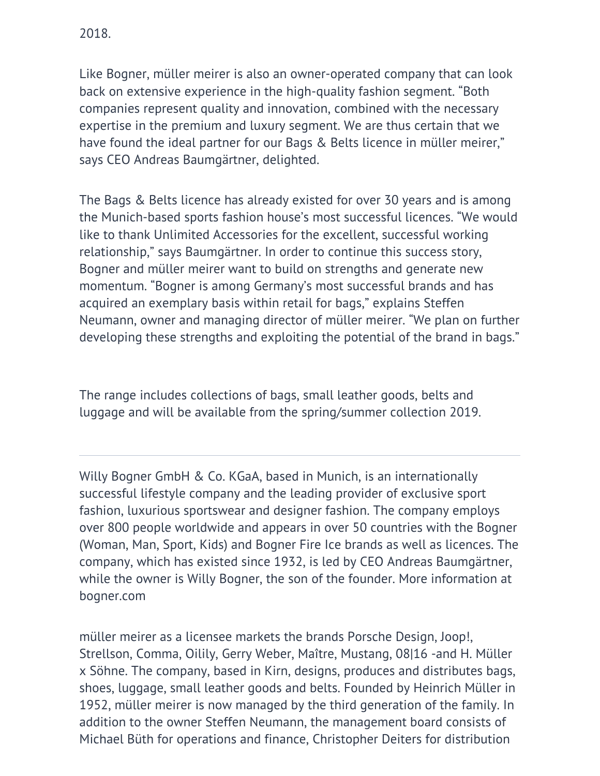Like Bogner, müller meirer is also an owner-operated company that can look back on extensive experience in the high-quality fashion segment. "Both companies represent quality and innovation, combined with the necessary expertise in the premium and luxury segment. We are thus certain that we have found the ideal partner for our Bags & Belts licence in müller meirer," says CEO Andreas Baumgärtner, delighted.

The Bags & Belts licence has already existed for over 30 years and is among the Munich-based sports fashion house's most successful licences. "We would like to thank Unlimited Accessories for the excellent, successful working relationship," says Baumgärtner. In order to continue this success story, Bogner and müller meirer want to build on strengths and generate new momentum. "Bogner is among Germany's most successful brands and has acquired an exemplary basis within retail for bags," explains Steffen Neumann, owner and managing director of müller meirer. "We plan on further developing these strengths and exploiting the potential of the brand in bags."

The range includes collections of bags, small leather goods, belts and luggage and will be available from the spring/summer collection 2019.

Willy Bogner GmbH & Co. KGaA, based in Munich, is an internationally successful lifestyle company and the leading provider of exclusive sport fashion, luxurious sportswear and designer fashion. The company employs over 800 people worldwide and appears in over 50 countries with the Bogner (Woman, Man, Sport, Kids) and Bogner Fire Ice brands as well as licences. The company, which has existed since 1932, is led by CEO Andreas Baumgärtner, while the owner is Willy Bogner, the son of the founder. More information at bogner.com

müller meirer as a licensee markets the brands Porsche Design, Joop!, Strellson, Comma, Oilily, Gerry Weber, Maître, Mustang, 08|16 -and H. Müller x Söhne. The company, based in Kirn, designs, produces and distributes bags, shoes, luggage, small leather goods and belts. Founded by Heinrich Müller in 1952, müller meirer is now managed by the third generation of the family. In addition to the owner Steffen Neumann, the management board consists of Michael Büth for operations and finance, Christopher Deiters for distribution